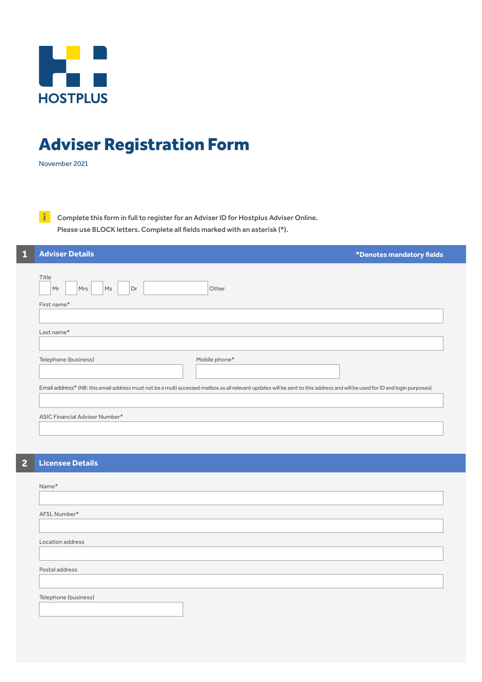

## Adviser Registration Form

November 2021

**Complete this form in full to register for an Adviser ID for Hostplus Adviser Online.**  Please use BLOCK letters. Complete all fields marked with an asterisk (\*).

| <b>Adviser Details</b><br>*Denotes mandatory fields                                                                                                                          |  |  |  |  |
|------------------------------------------------------------------------------------------------------------------------------------------------------------------------------|--|--|--|--|
| Title<br>Mrs<br>Other<br>Mr<br>Ms<br>Dr<br>First name*                                                                                                                       |  |  |  |  |
|                                                                                                                                                                              |  |  |  |  |
| Last name*                                                                                                                                                                   |  |  |  |  |
| Telephone (business)<br>Mobile phone*                                                                                                                                        |  |  |  |  |
| Email address* (NB: this email address must not be a multi accessed mailbox as all relevant updates will be sent to this address and will be used for ID and login purposes) |  |  |  |  |
| ASIC Financial Adviser Number*                                                                                                                                               |  |  |  |  |
|                                                                                                                                                                              |  |  |  |  |

## **2 Licensee Details**

| Name*                |  |  |
|----------------------|--|--|
|                      |  |  |
| AFSL Number*         |  |  |
|                      |  |  |
| Location address     |  |  |
|                      |  |  |
| Postal address       |  |  |
|                      |  |  |
| Telephone (business) |  |  |
|                      |  |  |